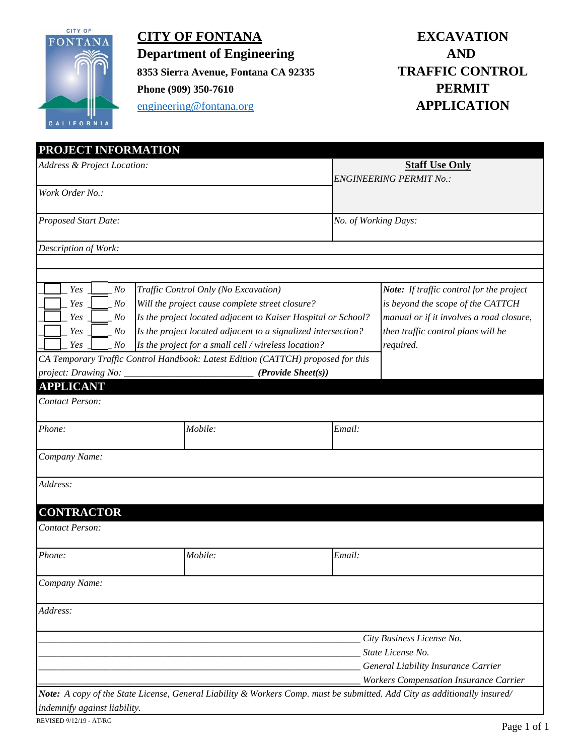

**CITY OF FONTANA Department of Engineering 8353 Sierra Avenue, Fontana CA 92335 Phone (909) 350-7610** engineering@fontana.org **APPLICATION**

| PROJECT INFORMATION                                                                                                                                                                                                                                                                                                                                                                                                                                                                                |         |                    |                                                                                                                                                                              |  |
|----------------------------------------------------------------------------------------------------------------------------------------------------------------------------------------------------------------------------------------------------------------------------------------------------------------------------------------------------------------------------------------------------------------------------------------------------------------------------------------------------|---------|--------------------|------------------------------------------------------------------------------------------------------------------------------------------------------------------------------|--|
| Address & Project Location:                                                                                                                                                                                                                                                                                                                                                                                                                                                                        |         |                    | <b>Staff Use Only</b><br><b>ENGINEERING PERMIT No.:</b>                                                                                                                      |  |
| Work Order No.:                                                                                                                                                                                                                                                                                                                                                                                                                                                                                    |         |                    |                                                                                                                                                                              |  |
| <b>Proposed Start Date:</b>                                                                                                                                                                                                                                                                                                                                                                                                                                                                        |         |                    | No. of Working Days:                                                                                                                                                         |  |
| Description of Work:                                                                                                                                                                                                                                                                                                                                                                                                                                                                               |         |                    |                                                                                                                                                                              |  |
|                                                                                                                                                                                                                                                                                                                                                                                                                                                                                                    |         |                    |                                                                                                                                                                              |  |
| Yes<br>N <sub>O</sub><br>Traffic Control Only (No Excavation)<br>N <sub>O</sub><br>Will the project cause complete street closure?<br>Yes<br>Is the project located adjacent to Kaiser Hospital or School?<br>Yes<br>N <sub>O</sub><br>Is the project located adjacent to a signalized intersection?<br>Yes<br>N <sub>O</sub><br>Is the project for a small cell / wireless location?<br>Yes<br>N <sub>O</sub><br>CA Temporary Traffic Control Handbook: Latest Edition (CATTCH) proposed for this |         |                    | Note: If traffic control for the project<br>is beyond the scope of the CATTCH<br>manual or if it involves a road closure,<br>then traffic control plans will be<br>required. |  |
| project: Drawing No:                                                                                                                                                                                                                                                                                                                                                                                                                                                                               |         | (Provide Sheet(s)) |                                                                                                                                                                              |  |
| <b>APPLICANT</b><br><b>Contact Person:</b>                                                                                                                                                                                                                                                                                                                                                                                                                                                         |         |                    |                                                                                                                                                                              |  |
| Phone:<br>Mobile:                                                                                                                                                                                                                                                                                                                                                                                                                                                                                  |         | Email:             |                                                                                                                                                                              |  |
| Company Name:                                                                                                                                                                                                                                                                                                                                                                                                                                                                                      |         |                    |                                                                                                                                                                              |  |
| Address:                                                                                                                                                                                                                                                                                                                                                                                                                                                                                           |         |                    |                                                                                                                                                                              |  |
| <b>CONTRACTOR</b><br>Contact Person:                                                                                                                                                                                                                                                                                                                                                                                                                                                               |         |                    |                                                                                                                                                                              |  |
| Phone:                                                                                                                                                                                                                                                                                                                                                                                                                                                                                             | Mobile: | Email:             |                                                                                                                                                                              |  |
| Company Name:                                                                                                                                                                                                                                                                                                                                                                                                                                                                                      |         |                    |                                                                                                                                                                              |  |
| Address:                                                                                                                                                                                                                                                                                                                                                                                                                                                                                           |         |                    |                                                                                                                                                                              |  |
|                                                                                                                                                                                                                                                                                                                                                                                                                                                                                                    |         |                    | City Business License No.<br>State License No.                                                                                                                               |  |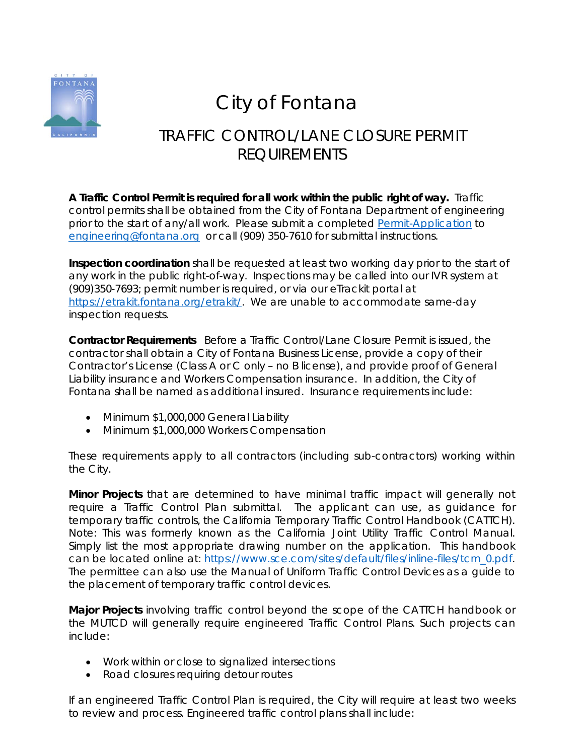

# City of Fontana

# TRAFFIC CONTROL/LANE CLOSURE PERMIT REQUIREMENTS

**A Traffic Control Permit is required for all work within the public right of way.** Traffic control permits shall be obtained from the City of Fontana Department of engineering prior to the start of any/all work. Please submit a completed [Permit-Application](https://www.fontana.org/DocumentCenter/View/10102/Excavation-and-Traffic-Control-Permit-Application) to [engineering@fontana.org](mailto:engineering@fontana.org) or call (909) 350-7610 for submittal instructions.

**Inspection coordination** shall be requested at least two working day prior to the start of any work in the public right-of-way. Inspections may be called into our IVR system at (909)350-7693; permit number is required, or via our eTrackit portal at [https://etrakit.fontana.org/etrakit/.](https://etrakit.fontana.org/etrakit/) We are unable to accommodate same-day inspection requests.

**Contractor Requirements** Before a Traffic Control/Lane Closure Permit is issued, the contractor shall obtain a City of Fontana Business License, provide a copy of their Contractor's License (Class A or C only – no B license), and provide proof of General Liability insurance and Workers Compensation insurance. In addition, the City of Fontana shall be named as additional insured. Insurance requirements include:

- Minimum \$1,000,000 General Liability
- Minimum \$1,000,000 Workers Compensation

These requirements apply to all contractors (including sub-contractors) working within the City.

**Minor Projects** that are determined to have minimal traffic impact will generally not require a Traffic Control Plan submittal. The applicant can use, as guidance for temporary traffic controls, the California Temporary Traffic Control Handbook (CATTCH). Note: This was formerly known as the California Joint Utility Traffic Control Manual. Simply list the most appropriate drawing number on the application. This handbook can be located online at: [https://www.sce.com/sites/default/files/inline-files/tcm\\_0.pdf.](https://www.sce.com/sites/default/files/inline-files/tcm_0.pdf) The permittee can also use the Manual of Uniform Traffic Control Devices as a guide to the placement of temporary traffic control devices.

**Major Projects** involving traffic control beyond the scope of the CATTCH handbook or the MUTCD will generally require engineered Traffic Control Plans. Such projects can include:

- Work within or close to signalized intersections
- Road closures requiring detour routes

If an engineered Traffic Control Plan is required, the City will require at least two weeks to review and process. Engineered traffic control plans shall include: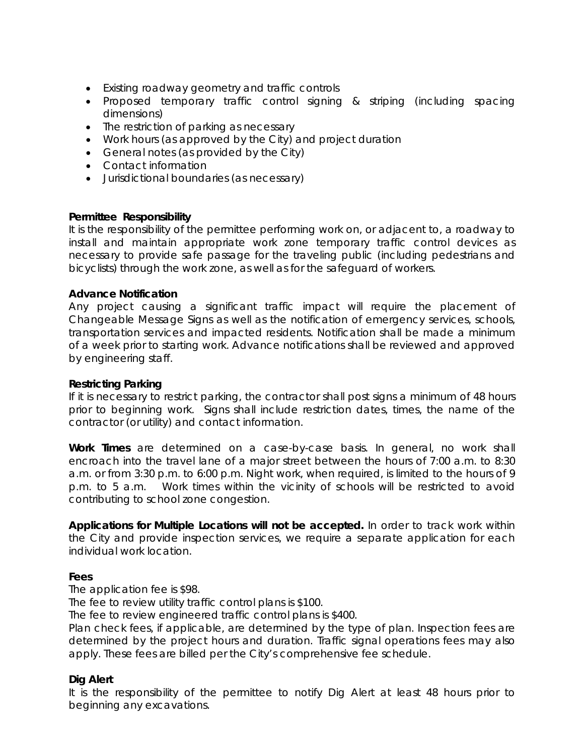- Existing roadway geometry and traffic controls
- Proposed temporary traffic control signing & striping (including spacing dimensions)
- The restriction of parking as necessary
- Work hours (as approved by the City) and project duration
- General notes (as provided by the City)
- Contact information
- Jurisdictional boundaries (as necessary)

### **Permittee Responsibility**

It is the responsibility of the permittee performing work on, or adjacent to, a roadway to install and maintain appropriate work zone temporary traffic control devices as necessary to provide safe passage for the traveling public (including pedestrians and bicyclists) through the work zone, as well as for the safeguard of workers.

#### **Advance Notification**

Any project causing a significant traffic impact will require the placement of Changeable Message Signs as well as the notification of emergency services, schools, transportation services and impacted residents. Notification shall be made a minimum of a week prior to starting work. Advance notifications shall be reviewed and approved by engineering staff.

#### **Restricting Parking**

If it is necessary to restrict parking, the contractor shall post signs a minimum of 48 hours prior to beginning work. Signs shall include restriction dates, times, the name of the contractor (or utility) and contact information.

**Work Times** are determined on a case-by-case basis. In general, no work shall encroach into the travel lane of a major street between the hours of 7:00 a.m. to 8:30 a.m. or from 3:30 p.m. to 6:00 p.m. Night work, when required, is limited to the hours of 9 p.m. to 5 a.m. Work times within the vicinity of schools will be restricted to avoid contributing to school zone congestion.

**Applications for Multiple Locations will not be accepted.** In order to track work within the City and provide inspection services, we require a separate application for each individual work location.

### **Fees**

The application fee is \$98.

The fee to review utility traffic control plans is \$100.

The fee to review engineered traffic control plans is \$400.

Plan check fees, if applicable, are determined by the type of plan. Inspection fees are determined by the project hours and duration. Traffic signal operations fees may also apply. These fees are billed per the City's comprehensive fee schedule.

### **Dig Alert**

It is the responsibility of the permittee to notify Dig Alert at least 48 hours prior to beginning any excavations.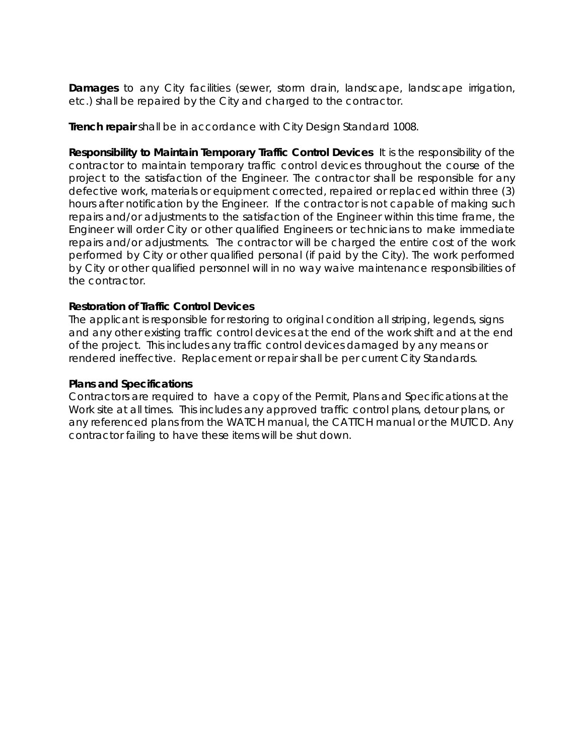**Damages** to any City facilities (sewer, storm drain, landscape, landscape irrigation, etc.) shall be repaired by the City and charged to the contractor.

**Trench repair** shall be in accordance with City Design Standard 1008.

**Responsibility to Maintain Temporary Traffic Control Devices** It is the responsibility of the contractor to maintain temporary traffic control devices throughout the course of the project to the satisfaction of the Engineer. The contractor shall be responsible for any defective work, materials or equipment corrected, repaired or replaced within three (3) hours after notification by the Engineer. If the contractor is not capable of making such repairs and/or adjustments to the satisfaction of the Engineer within this time frame, the Engineer will order City or other qualified Engineers or technicians to make immediate repairs and/or adjustments. The contractor will be charged the entire cost of the work performed by City or other qualified personal (if paid by the City). The work performed by City or other qualified personnel will in no way waive maintenance responsibilities of the contractor.

#### **Restoration of Traffic Control Devices**

The applicant is responsible for restoring to original condition all striping, legends, signs and any other existing traffic control devices at the end of the work shift and at the end of the project. This includes any traffic control devices damaged by any means or rendered ineffective. Replacement or repair shall be per current City Standards.

#### **Plans and Specifications**

Contractors are required to have a copy of the Permit, Plans and Specifications at the Work site at all times. This includes any approved traffic control plans, detour plans, or any referenced plans from the WATCH manual, the CATTCH manual or the MUTCD. Any contractor failing to have these items will be shut down.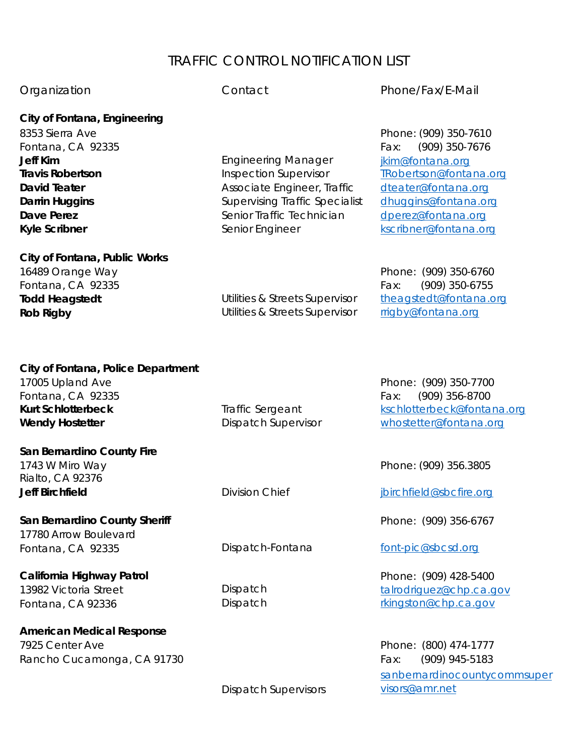## TRAFFIC CONTROL NOTIFICATION LIST

**City of Fontana, Engineering**

**City of Fontana, Public Works**

Organization Contact Phone/Fax/E-Mail

8353 Sierra Ave **Phone: (909) 350-7610** Fontana, CA 92335 Fax: (909) 350-7676 **Jeff Kim Engineering Manager** ikim@fontana.org **Travis Robertson** Travis Robertson **Inspection Supervisor** [TRobertson@fontana.org](mailto:TRobertson@fontana.org) **David Teater Associate Engineer, Traffic** [dteater@fontana.org](mailto:dteater@fontana.org) **Darrin Huggins Contains** Supervising Traffic Specialist [dhuggins@fontana.org](mailto:dhuggins@fontana.org) **Dave Perez Contains a Senior Traffic Technician** deperez@fontana.org Kyle Scribner **Kyle Scribner** Senior Engineer **Kyle Scribner@fontana.org** 

16489 Orange Way Phone: (909) 350-6760 Fontana, CA 92335 Fax: (909) 350-6755 **Todd Heagstedt** Todd Heagstedt **Network** Utilities & Streets Supervisor [theagstedt@fontana.org](mailto:theagstedt@fontana.org) **Rob Rigby Rob Rigby Example 20** The Utilities & Streets Supervisor **[rrigby@fontana.org](mailto:rrigby@fontana.org)** 

| City of Fontana, Police Department<br>17005 Upland Ave<br>Fontana, CA 92335<br><b>Kurt Schlotterbeck</b><br><b>Wendy Hostetter</b> | Traffic Sergeant<br><b>Dispatch Supervisor</b> | Phone: (909) 350-7700<br>(909) 356-8700<br>Fax:<br>kschlotterbeck@fontana.org<br>whostetter@fontana.org |
|------------------------------------------------------------------------------------------------------------------------------------|------------------------------------------------|---------------------------------------------------------------------------------------------------------|
| San Bernardino County Fire<br>1743 W Miro Way<br><b>Rialto, CA 92376</b><br><b>Jeff Birchfield</b>                                 | <b>Division Chief</b>                          | Phone: (909) 356.3805<br>jbirchfield@sbcfire.org                                                        |
| San Bernardino County Sheriff<br>17780 Arrow Boulevard<br>Fontana, CA 92335                                                        | Dispatch-Fontana                               | Phone: (909) 356-6767<br>font-pic@sbcsd.org                                                             |
| California Highway Patrol<br>13982 Victoria Street<br>Fontana, CA 92336                                                            | Dispatch<br>Dispatch                           | Phone: (909) 428-5400<br>talrodriquez@chp.ca.gov<br>rkingston@chp.ca.gov                                |

[sanbernardinocountycommsuper](mailto:sanbernardinocountycommsupervisors@amr.net) [visors@amr.net](mailto:sanbernardinocountycommsupervisors@amr.net)

**American Medical Response** 7925 Center Ave Phone: (800) 474-1777 Rancho Cucamonga, CA 91730 Fax: (909) 945-5183

Dispatch Supervisors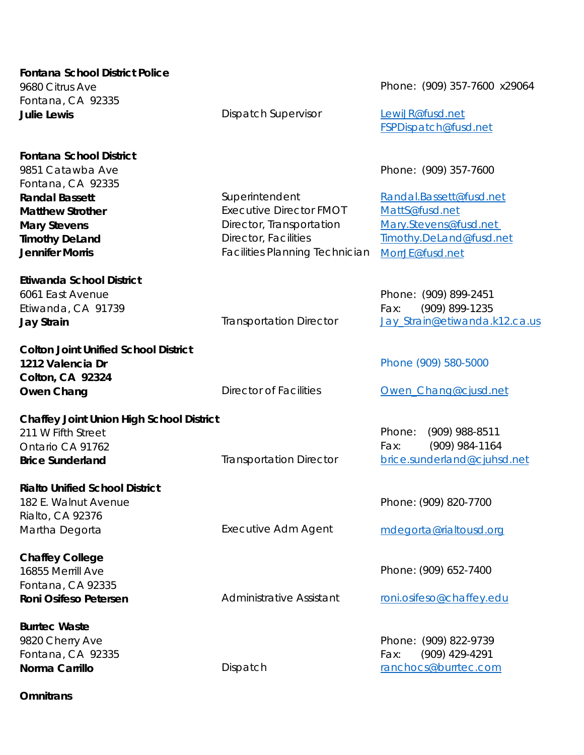| <b>Fontana School District Police</b><br>9680 Citrus Ave<br>Fontana, CA 92335<br><b>Julie Lewis</b>                                                                                                   | <b>Dispatch Supervisor</b>                                                                                                                    | Phone: (909) 357-7600 x29064<br>LewiJR@fusd.net<br>FSPDispatch@fusd.net                                                                   |
|-------------------------------------------------------------------------------------------------------------------------------------------------------------------------------------------------------|-----------------------------------------------------------------------------------------------------------------------------------------------|-------------------------------------------------------------------------------------------------------------------------------------------|
| <b>Fontana School District</b><br>9851 Catawba Ave<br>Fontana, CA 92335<br><b>Randal Bassett</b><br><b>Matthew Strother</b><br><b>Mary Stevens</b><br><b>Timothy DeLand</b><br><b>Jennifer Morris</b> | Superintendent<br><b>Executive Director FMOT</b><br>Director, Transportation<br>Director, Facilities<br><b>Facilities Planning Technician</b> | Phone: (909) 357-7600<br>Randal.Bassett@fusd.net<br>MattS@fusd.net<br>Mary.Stevens@fusd.net<br>Timothy.DeLand@fusd.net<br>MorrJE@fusd.net |
| <b>Etiwanda School District</b><br>6061 East Avenue<br>Etiwanda, CA 91739<br><b>Jay Strain</b>                                                                                                        | <b>Transportation Director</b>                                                                                                                | Phone: (909) 899-2451<br>(909) 899-1235<br>Fax:<br>Jay_Strain@etiwanda.k12.ca.us                                                          |
| <b>Colton Joint Unified School District</b><br>1212 Valencia Dr<br><b>Colton, CA 92324</b><br>Owen Chang                                                                                              | <b>Director of Facilities</b>                                                                                                                 | Phone (909) 580-5000<br>Owen_Chang@cjusd.net                                                                                              |
| <b>Chaffey Joint Union High School District</b><br>211 W Fifth Street<br>Ontario CA 91762<br><b>Brice Sunderland</b>                                                                                  | <b>Transportation Director</b>                                                                                                                | Phone:<br>$(909)$ 988-8511<br>(909) 984-1164<br>Fax:<br>brice.sunderland@cjuhsd.net                                                       |
| <b>Rialto Unified School District</b><br>182 E. Walnut Avenue<br>Rialto, CA 92376<br>Martha Degorta                                                                                                   | Executive Adm Agent                                                                                                                           | Phone: (909) 820-7700<br>mdegorta@rialtousd.org                                                                                           |
| <b>Chaffey College</b><br>16855 Merrill Ave<br>Fontana, CA 92335<br>Roni Osifeso Petersen                                                                                                             | Administrative Assistant                                                                                                                      | Phone: (909) 652-7400<br>roni.osifeso@chaffey.edu                                                                                         |
| <b>Burrtec Waste</b><br>9820 Cherry Ave<br>Fontana, CA 92335<br>Norma Carrillo                                                                                                                        | Dispatch                                                                                                                                      | Phone: (909) 822-9739<br>(909) 429-4291<br>Fax:<br>ranchocs@burrtec.com                                                                   |
| <b>Omnitrans</b>                                                                                                                                                                                      |                                                                                                                                               |                                                                                                                                           |